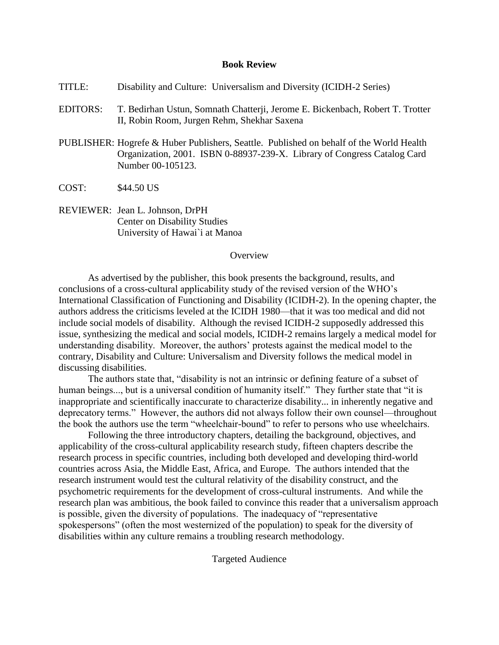## **Book Review**

| TITLE:           | Disability and Culture: Universalism and Diversity (ICIDH-2 Series)                                                                                                                      |
|------------------|------------------------------------------------------------------------------------------------------------------------------------------------------------------------------------------|
| <b>EDITORS:</b>  | T. Bedirhan Ustun, Somnath Chatterji, Jerome E. Bickenbach, Robert T. Trotter<br>II, Robin Room, Jurgen Rehm, Shekhar Saxena                                                             |
|                  | PUBLISHER: Hogrefe & Huber Publishers, Seattle. Published on behalf of the World Health<br>Organization, 2001. ISBN 0-88937-239-X. Library of Congress Catalog Card<br>Number 00-105123. |
| COST:            | \$44.50 US                                                                                                                                                                               |
|                  | REVIEWER: Jean L. Johnson, DrPH<br><b>Center on Disability Studies</b><br>University of Hawai'i at Manoa                                                                                 |
| <b>D</b> verview |                                                                                                                                                                                          |

As advertised by the publisher, this book presents the background, results, and conclusions of a cross-cultural applicability study of the revised version of the WHO's International Classification of Functioning and Disability (ICIDH-2). In the opening chapter, the authors address the criticisms leveled at the ICIDH 1980––that it was too medical and did not include social models of disability. Although the revised ICIDH-2 supposedly addressed this issue, synthesizing the medical and social models, ICIDH-2 remains largely a medical model for understanding disability. Moreover, the authors' protests against the medical model to the contrary, Disability and Culture: Universalism and Diversity follows the medical model in discussing disabilities.

The authors state that, "disability is not an intrinsic or defining feature of a subset of human beings..., but is a universal condition of humanity itself." They further state that "it is inappropriate and scientifically inaccurate to characterize disability... in inherently negative and deprecatory terms." However, the authors did not always follow their own counsel––throughout the book the authors use the term "wheelchair-bound" to refer to persons who use wheelchairs.

Following the three introductory chapters, detailing the background, objectives, and applicability of the cross-cultural applicability research study, fifteen chapters describe the research process in specific countries, including both developed and developing third-world countries across Asia, the Middle East, Africa, and Europe. The authors intended that the research instrument would test the cultural relativity of the disability construct, and the psychometric requirements for the development of cross-cultural instruments. And while the research plan was ambitious, the book failed to convince this reader that a universalism approach is possible, given the diversity of populations. The inadequacy of "representative spokespersons" (often the most westernized of the population) to speak for the diversity of disabilities within any culture remains a troubling research methodology.

Targeted Audience